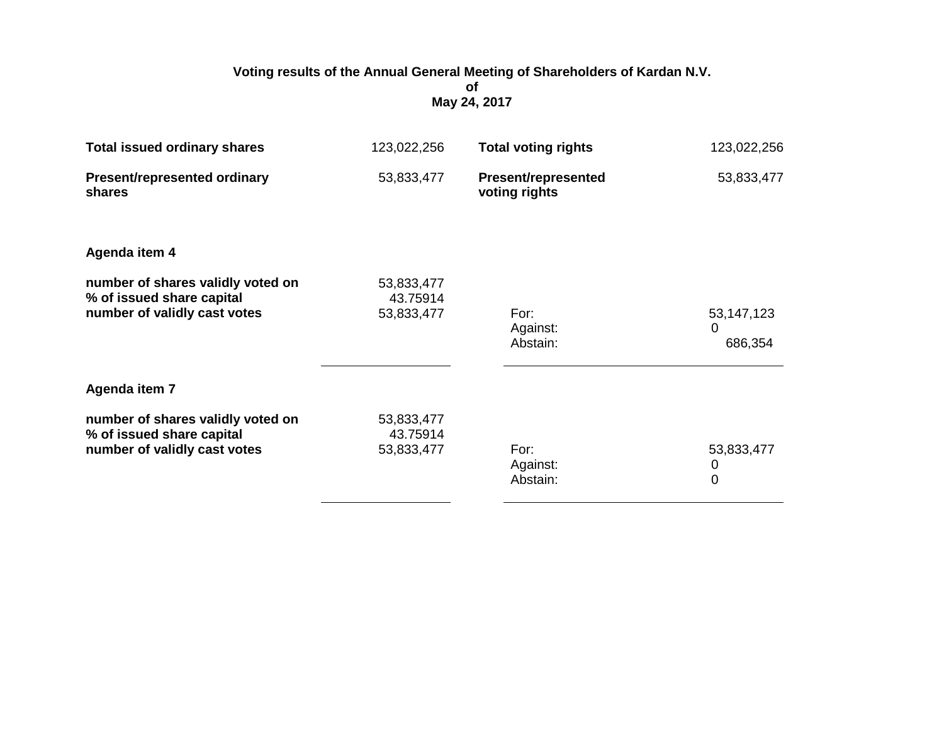## **Voting results of the Annual General Meeting of Shareholders of Kardan N.V. of May 24, 2017**

| <b>Total issued ordinary shares</b>                                                            | 123,022,256                          | <b>Total voting rights</b>                  | 123,022,256                                   |
|------------------------------------------------------------------------------------------------|--------------------------------------|---------------------------------------------|-----------------------------------------------|
| <b>Present/represented ordinary</b><br><b>shares</b>                                           | 53,833,477                           | <b>Present/represented</b><br>voting rights | 53,833,477                                    |
| Agenda item 4                                                                                  |                                      |                                             |                                               |
| number of shares validly voted on<br>% of issued share capital<br>number of validly cast votes | 53,833,477<br>43.75914<br>53,833,477 | For:<br>Against:<br>Abstain:                | 53, 147, 123<br>$\Omega$<br>686,354           |
| Agenda item 7                                                                                  |                                      |                                             |                                               |
| number of shares validly voted on<br>% of issued share capital<br>number of validly cast votes | 53,833,477<br>43.75914<br>53,833,477 | For:<br>Against:<br>Abstain:                | 53,833,477<br>$\boldsymbol{0}$<br>$\mathbf 0$ |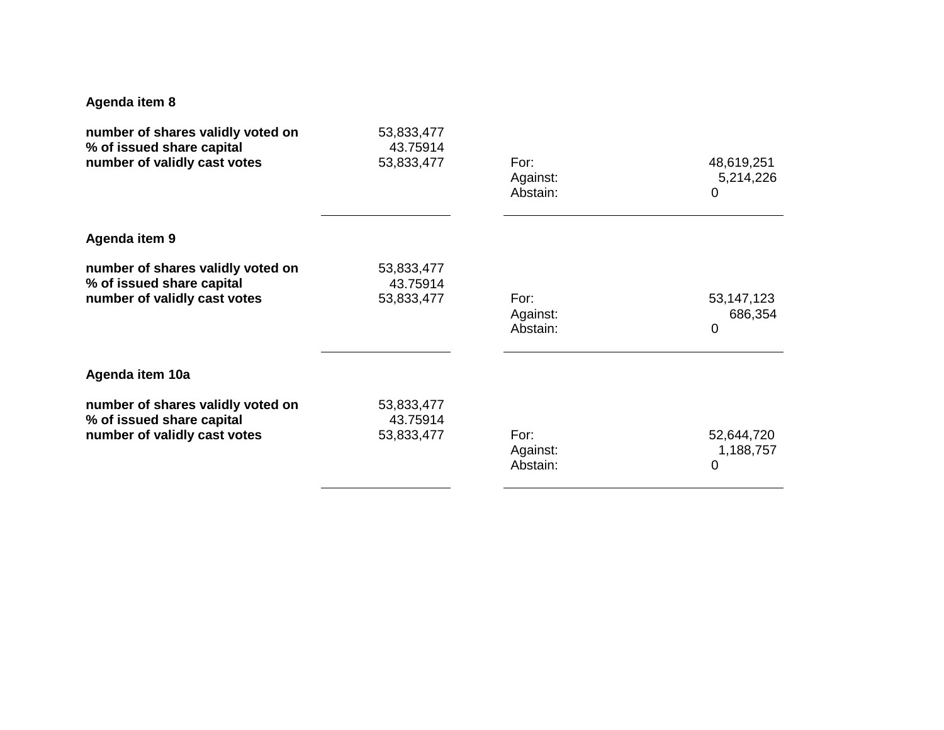## **Agenda item 8**

| number of shares validly voted on | 53,833,477 | For:     | 48,619,251   |
|-----------------------------------|------------|----------|--------------|
| % of issued share capital         | 43.75914   | Against: | 5,214,226    |
| number of validly cast votes      | 53,833,477 | Abstain: | 0            |
| Agenda item 9                     |            |          |              |
| number of shares validly voted on | 53,833,477 | For:     | 53, 147, 123 |
| % of issued share capital         | 43.75914   | Against: | 686,354      |
| number of validly cast votes      | 53,833,477 | Abstain: | $\mathbf 0$  |
| Agenda item 10a                   |            |          |              |
| number of shares validly voted on | 53,833,477 | For:     | 52,644,720   |
| % of issued share capital         | 43.75914   | Against: | 1,188,757    |
| number of validly cast votes      | 53,833,477 | Abstain: | 0            |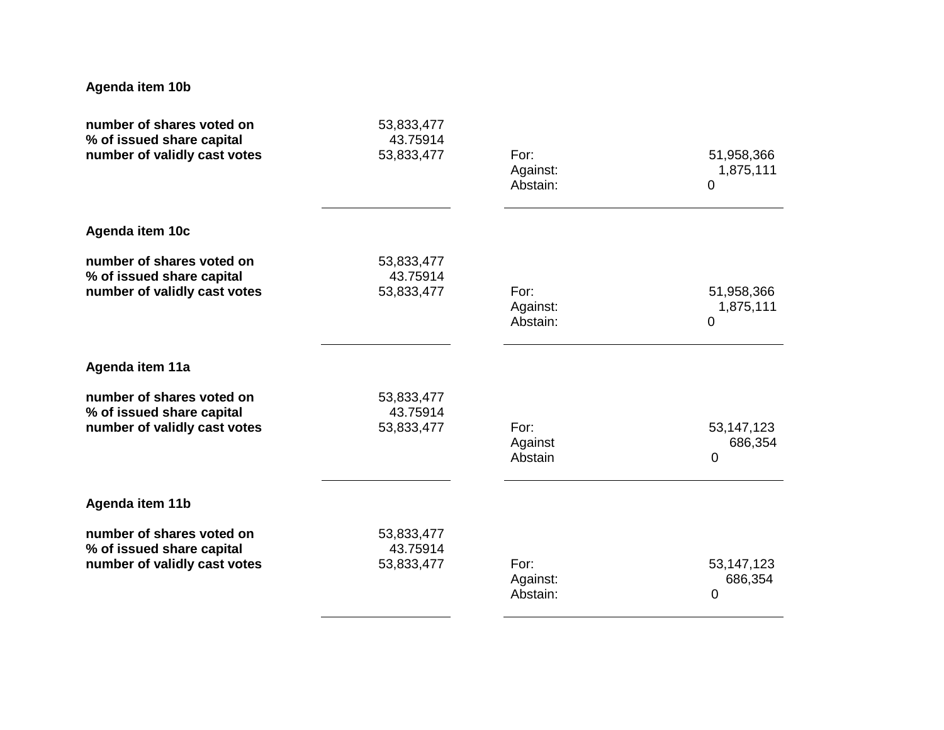## **Agenda item 10b**

| number of shares voted on<br>% of issued share capital                                 | 53,833,477<br>43.75914               |                              |                                           |
|----------------------------------------------------------------------------------------|--------------------------------------|------------------------------|-------------------------------------------|
| number of validly cast votes                                                           | 53,833,477                           | For:<br>Against:<br>Abstain: | 51,958,366<br>1,875,111<br>$\mathbf 0$    |
| Agenda item 10c                                                                        |                                      |                              |                                           |
| number of shares voted on<br>% of issued share capital<br>number of validly cast votes | 53,833,477<br>43.75914<br>53,833,477 | For:<br>Against:<br>Abstain: | 51,958,366<br>1,875,111<br>$\overline{0}$ |
| Agenda item 11a                                                                        |                                      |                              |                                           |
| number of shares voted on<br>% of issued share capital<br>number of validly cast votes | 53,833,477<br>43.75914<br>53,833,477 | For:<br>Against<br>Abstain   | 53, 147, 123<br>686,354<br>$\mathbf 0$    |
| Agenda item 11b                                                                        |                                      |                              |                                           |
| number of shares voted on<br>% of issued share capital<br>number of validly cast votes | 53,833,477<br>43.75914<br>53,833,477 | For:<br>Against:<br>Abstain: | 53, 147, 123<br>686,354<br>0              |